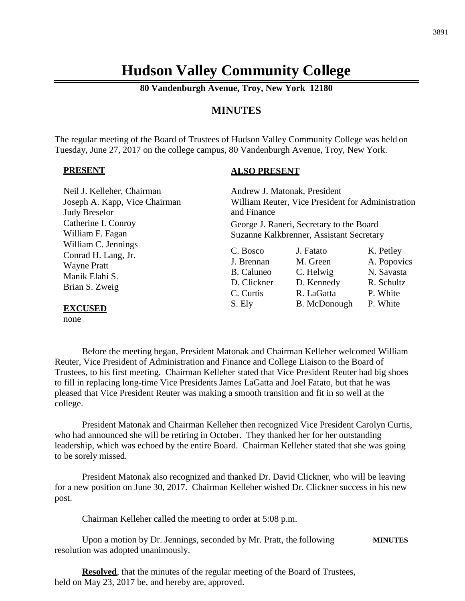# **Hudson Valley Community College**

**80 Vandenburgh Avenue, Troy, New York 12180**

# **MINUTES**

The regular meeting of the Board of Trustees of Hudson Valley Community College was held on Tuesday, June 27, 2017 on the college campus, 80 Vandenburgh Avenue, Troy, New York.

#### **PRESENT**

#### **ALSO PRESENT**

| Neil J. Kelleher, Chairman<br>Joseph A. Kapp, Vice Chairman                                          | Andrew J. Matonak, President                        | William Reuter, Vice President for Administration |                                                      |
|------------------------------------------------------------------------------------------------------|-----------------------------------------------------|---------------------------------------------------|------------------------------------------------------|
| <b>Judy Breselor</b>                                                                                 | and Finance                                         |                                                   |                                                      |
| Catherine I. Conroy                                                                                  |                                                     | George J. Raneri, Secretary to the Board          |                                                      |
| William F. Fagan                                                                                     |                                                     | Suzanne Kalkbrenner, Assistant Secretary          |                                                      |
| William C. Jennings<br>Conrad H. Lang, Jr.<br><b>Wayne Pratt</b><br>Manik Elahi S.<br>Brian S. Zweig | C. Bosco<br>J. Brennan<br>B. Caluneo<br>D. Clickner | J. Fatato<br>M. Green<br>C. Helwig<br>D. Kennedy  | K. Petley<br>A. Popovics<br>N. Savasta<br>R. Schultz |
| <b>FYCHSED</b>                                                                                       | C. Curtis<br>S. Ely                                 | R. LaGatta<br>B. McDonough                        | P. White<br>P. White                                 |

**EXCUSED**

none

Before the meeting began, President Matonak and Chairman Kelleher welcomed William Reuter, Vice President of Administration and Finance and College Liaison to the Board of Trustees, to his first meeting. Chairman Kelleher stated that Vice President Reuter had big shoes to fill in replacing long-time Vice Presidents James LaGatta and Joel Fatato, but that he was pleased that Vice President Reuter was making a smooth transition and fit in so well at the college.

President Matonak and Chairman Kelleher then recognized Vice President Carolyn Curtis, who had announced she will be retiring in October. They thanked her for her outstanding leadership, which was echoed by the entire Board. Chairman Kelleher stated that she was going to be sorely missed.

President Matonak also recognized and thanked Dr. David Clickner, who will be leaving for a new position on June 30, 2017. Chairman Kelleher wished Dr. Clickner success in his new post.

Chairman Kelleher called the meeting to order at 5:08 p.m.

Upon a motion by Dr. Jennings, seconded by Mr. Pratt, the following **MINUTES** resolution was adopted unanimously.

**Resolved**, that the minutes of the regular meeting of the Board of Trustees, held on May 23, 2017 be, and hereby are, approved.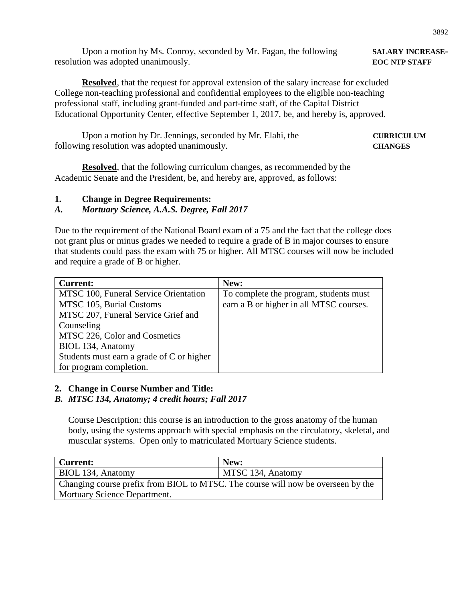Upon a motion by Ms. Conroy, seconded by Mr. Fagan, the following **SALARY INCREASE** resolution was adopted unanimously. **EOC NTP STAFF**

**Resolved**, that the request for approval extension of the salary increase for excluded College non-teaching professional and confidential employees to the eligible non-teaching professional staff, including grant-funded and part-time staff, of the Capital District Educational Opportunity Center, effective September 1, 2017, be, and hereby is, approved.

Upon a motion by Dr. Jennings, seconded by Mr. Elahi, the **CURRICULUM** following resolution was adopted unanimously. **CHANGES**

**Resolved**, that the following curriculum changes, as recommended by the Academic Senate and the President, be, and hereby are, approved, as follows:

**1. Change in Degree Requirements:**

# *A. Mortuary Science, A.A.S. Degree, Fall 2017*

Due to the requirement of the National Board exam of a 75 and the fact that the college does not grant plus or minus grades we needed to require a grade of B in major courses to ensure that students could pass the exam with 75 or higher. All MTSC courses will now be included and require a grade of B or higher.

| <b>Current:</b>                           | New:                                    |
|-------------------------------------------|-----------------------------------------|
| MTSC 100, Funeral Service Orientation     | To complete the program, students must  |
| MTSC 105, Burial Customs                  | earn a B or higher in all MTSC courses. |
| MTSC 207, Funeral Service Grief and       |                                         |
| Counseling                                |                                         |
| MTSC 226, Color and Cosmetics             |                                         |
| BIOL 134, Anatomy                         |                                         |
| Students must earn a grade of C or higher |                                         |
| for program completion.                   |                                         |

### **2. Change in Course Number and Title:**

### *B. MTSC 134, Anatomy; 4 credit hours; Fall 2017*

Course Description: this course is an introduction to the gross anatomy of the human body, using the systems approach with special emphasis on the circulatory, skeletal, and muscular systems. Open only to matriculated Mortuary Science students.

| Current:                                                                         | New:              |  |
|----------------------------------------------------------------------------------|-------------------|--|
| BIOL 134, Anatomy                                                                | MTSC 134, Anatomy |  |
| Changing course prefix from BIOL to MTSC. The course will now be overseen by the |                   |  |
| <b>Mortuary Science Department.</b>                                              |                   |  |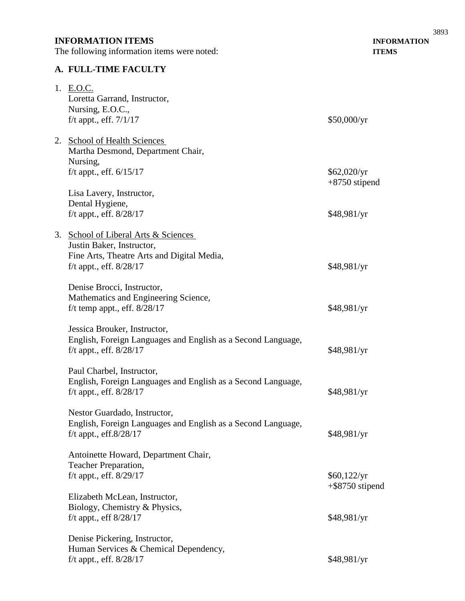# **INFORMATION ITEMS INFORMATION**

The following information items were noted: **ITEMS**

# **A. FULL-TIME FACULTY**

| 1. E.O.C.<br>Loretta Garrand, Instructor,<br>Nursing, E.O.C.,<br>f/t appt., eff. $7/1/17$ | \$50,000/yr                       |
|-------------------------------------------------------------------------------------------|-----------------------------------|
| 2. School of Health Sciences<br>Martha Desmond, Department Chair,<br>Nursing,             |                                   |
| f/t appt., eff. $6/15/17$                                                                 | \$62,020/yr<br>$+8750$ stipend    |
| Lisa Lavery, Instructor,                                                                  |                                   |
| Dental Hygiene,                                                                           |                                   |
| f/t appt., eff. $8/28/17$                                                                 | \$48,981/yr                       |
| 3. School of Liberal Arts & Sciences<br>Justin Baker, Instructor,                         |                                   |
| Fine Arts, Theatre Arts and Digital Media,                                                |                                   |
| f/t appt., eff. $8/28/17$                                                                 | \$48,981/yr                       |
| Denise Brocci, Instructor,                                                                |                                   |
| Mathematics and Engineering Science,                                                      |                                   |
| f/t temp appt., eff. $8/28/17$                                                            | \$48,981/yr                       |
| Jessica Brouker, Instructor,                                                              |                                   |
| English, Foreign Languages and English as a Second Language,                              |                                   |
| f/t appt., eff. $8/28/17$                                                                 | \$48,981/yr                       |
| Paul Charbel, Instructor,                                                                 |                                   |
| English, Foreign Languages and English as a Second Language,                              |                                   |
| f/t appt., eff. $8/28/17$                                                                 | \$48,981/yr                       |
| Nestor Guardado, Instructor,                                                              |                                   |
| English, Foreign Languages and English as a Second Language,                              |                                   |
| f/t appt., eff. $8/28/17$                                                                 | \$48,981/yr                       |
| Antoinette Howard, Department Chair,                                                      |                                   |
| Teacher Preparation,                                                                      |                                   |
| f/t appt., eff. 8/29/17                                                                   | \$60,122/yr<br>$+$ \$8750 stipend |
| Elizabeth McLean, Instructor,                                                             |                                   |
| Biology, Chemistry & Physics,                                                             |                                   |
| f/t appt., eff $8/28/17$                                                                  | \$48,981/yr                       |
| Denise Pickering, Instructor,                                                             |                                   |
| Human Services & Chemical Dependency,                                                     |                                   |
| f/t appt., eff. $8/28/17$                                                                 | \$48,981/yr                       |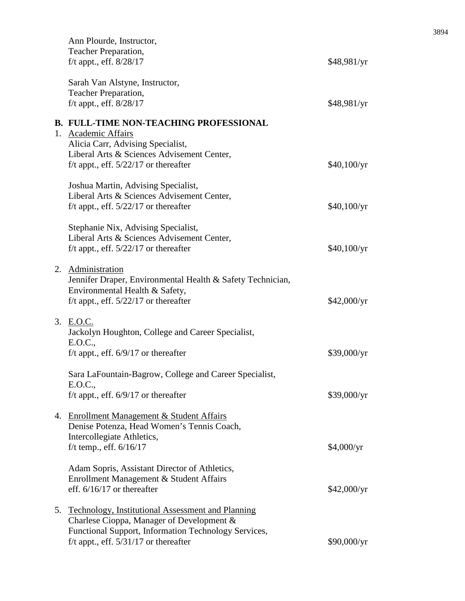|    | Ann Plourde, Instructor,<br>Teacher Preparation,<br>f/t appt., eff. 8/28/17                                                                                                                        | \$48,981/yr |
|----|----------------------------------------------------------------------------------------------------------------------------------------------------------------------------------------------------|-------------|
|    | Sarah Van Alstyne, Instructor,<br>Teacher Preparation,<br>f/t appt., eff. $8/28/17$                                                                                                                | \$48,981/yr |
|    | <b>B. FULL-TIME NON-TEACHING PROFESSIONAL</b><br>1. Academic Affairs<br>Alicia Carr, Advising Specialist,<br>Liberal Arts & Sciences Advisement Center,<br>f/t appt., eff. $5/22/17$ or thereafter | \$40,100/yr |
|    | Joshua Martin, Advising Specialist,<br>Liberal Arts & Sciences Advisement Center,<br>f/t appt., eff. $5/22/17$ or thereafter                                                                       | \$40,100/yr |
|    | Stephanie Nix, Advising Specialist,<br>Liberal Arts & Sciences Advisement Center,<br>f/t appt., eff. $5/22/17$ or thereafter                                                                       | \$40,100/yr |
|    | 2. Administration<br>Jennifer Draper, Environmental Health & Safety Technician,<br>Environmental Health & Safety,<br>f/t appt., eff. $5/22/17$ or thereafter                                       | \$42,000/yr |
|    | 3. E.O.C.<br>Jackolyn Houghton, College and Career Specialist,<br>E.O.C.,<br>f/t appt., eff. $6/9/17$ or thereafter                                                                                | \$39,000/yr |
|    | Sara LaFountain-Bagrow, College and Career Specialist,<br>E.O.C.,<br>f/t appt., eff. $6/9/17$ or thereafter                                                                                        | \$39,000/yr |
|    | 4. Enrollment Management & Student Affairs<br>Denise Potenza, Head Women's Tennis Coach,<br>Intercollegiate Athletics,<br>f/t temp., eff. $6/16/17$                                                | \$4,000/yr  |
|    | Adam Sopris, Assistant Director of Athletics,<br>Enrollment Management & Student Affairs<br>eff. $6/16/17$ or thereafter                                                                           | \$42,000/yr |
| 5. | Technology, Institutional Assessment and Planning<br>Charlese Cioppa, Manager of Development &<br>Functional Support, Information Technology Services,<br>f/t appt., eff. $5/31/17$ or thereafter  | \$90,000/yr |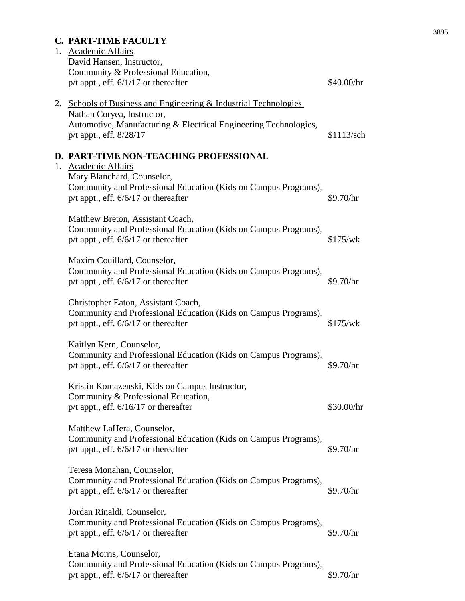# **C. PART-TIME FACULTY**

| 1. Academic Affairs<br>David Hansen, Instructor,<br>Community & Professional Education,<br>$p/t$ appt., eff. $6/1/17$ or thereafter                                                                        | \$40.00/hr |
|------------------------------------------------------------------------------------------------------------------------------------------------------------------------------------------------------------|------------|
| 2. Schools of Business and Engineering & Industrial Technologies<br>Nathan Coryea, Instructor,<br>Automotive, Manufacturing & Electrical Engineering Technologies,<br>p/t appt., eff. 8/28/17              | \$1113/sch |
| D. PART-TIME NON-TEACHING PROFESSIONAL<br>1. Academic Affairs<br>Mary Blanchard, Counselor,<br>Community and Professional Education (Kids on Campus Programs),<br>$p/t$ appt., eff. $6/6/17$ or thereafter | \$9.70/hr  |
| Matthew Breton, Assistant Coach,<br>Community and Professional Education (Kids on Campus Programs),<br>$p/t$ appt., eff. $6/6/17$ or thereafter                                                            | \$175/wk   |
| Maxim Couillard, Counselor,<br>Community and Professional Education (Kids on Campus Programs),<br>$p/t$ appt., eff. $6/6/17$ or thereafter                                                                 | \$9.70/hr  |
| Christopher Eaton, Assistant Coach,<br>Community and Professional Education (Kids on Campus Programs),<br>$p/t$ appt., eff. $6/6/17$ or thereafter                                                         | \$175/wk   |
| Kaitlyn Kern, Counselor,<br>Community and Professional Education (Kids on Campus Programs),<br>$p/t$ appt., eff. $6/6/17$ or thereafter                                                                    | \$9.70/hr  |
| Kristin Komazenski, Kids on Campus Instructor,<br>Community & Professional Education,<br>$p/t$ appt., eff. $6/16/17$ or thereafter                                                                         | \$30.00/hr |
| Matthew LaHera, Counselor,<br>Community and Professional Education (Kids on Campus Programs),<br>$p/t$ appt., eff. $6/6/17$ or thereafter                                                                  | \$9.70/hr  |
| Teresa Monahan, Counselor,<br>Community and Professional Education (Kids on Campus Programs),<br>$p/t$ appt., eff. $6/6/17$ or thereafter                                                                  | \$9.70/hr  |
| Jordan Rinaldi, Counselor,<br>Community and Professional Education (Kids on Campus Programs),<br>$p/t$ appt., eff. $6/6/17$ or thereafter                                                                  | \$9.70/hr  |
| Etana Morris, Counselor,<br>Community and Professional Education (Kids on Campus Programs),<br>$p/t$ appt., eff. $6/6/17$ or thereafter                                                                    | \$9.70/hr  |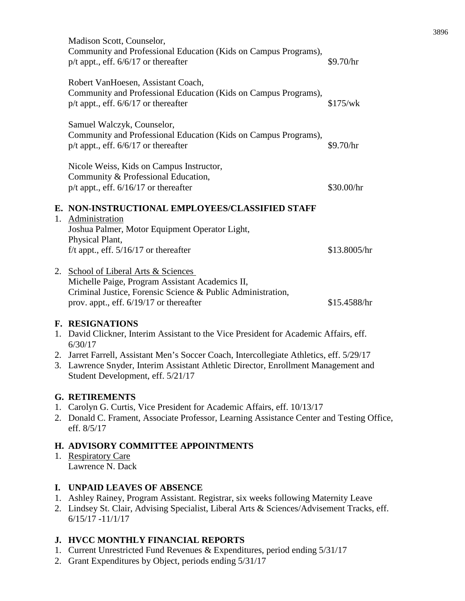|    | Madison Scott, Counselor,<br>Community and Professional Education (Kids on Campus Programs),<br>$p/t$ appt., eff. $6/6/17$ or thereafter                                                       | \$9.70/hr    |
|----|------------------------------------------------------------------------------------------------------------------------------------------------------------------------------------------------|--------------|
|    | Robert VanHoesen, Assistant Coach,<br>Community and Professional Education (Kids on Campus Programs),<br>$p/t$ appt., eff. $6/6/17$ or thereafter                                              | \$175/wk     |
|    | Samuel Walczyk, Counselor,<br>Community and Professional Education (Kids on Campus Programs),<br>$p/t$ appt., eff. $6/6/17$ or thereafter                                                      | \$9.70/hr    |
|    | Nicole Weiss, Kids on Campus Instructor,<br>Community & Professional Education,<br>$p/t$ appt., eff. $6/16/17$ or thereafter                                                                   | \$30.00/hr   |
| 1. | E. NON-INSTRUCTIONAL EMPLOYEES/CLASSIFIED STAFF<br>Administration<br>Joshua Palmer, Motor Equipment Operator Light,<br>Physical Plant,<br>f/t appt., eff. $5/16/17$ or thereafter              | \$13.8005/hr |
| 2. | School of Liberal Arts & Sciences<br>Michelle Paige, Program Assistant Academics II,<br>Criminal Justice, Forensic Science & Public Administration,<br>prov. appt., eff. 6/19/17 or thereafter | \$15.4588/hr |
|    | <b>F. RESIGNATIONS</b><br>1. David Clickner, Interim Assistant to the Vice President for Academic Affairs, eff.<br>6/30/17                                                                     |              |
| 2. | Jarret Farrell, Assistant Men's Soccer Coach, Intercollegiate Athletics, eff. 5/29/17                                                                                                          |              |

3. Lawrence Snyder, Interim Assistant Athletic Director, Enrollment Management and Student Development, eff. 5/21/17

# **G. RETIREMENTS**

- 1. Carolyn G. Curtis, Vice President for Academic Affairs, eff. 10/13/17
- 2. Donald C. Frament, Associate Professor, Learning Assistance Center and Testing Office, eff. 8/5/17

# **H. ADVISORY COMMITTEE APPOINTMENTS**

1. Respiratory Care Lawrence N. Dack

# **I. UNPAID LEAVES OF ABSENCE**

- 1. Ashley Rainey, Program Assistant. Registrar, six weeks following Maternity Leave
- 2. Lindsey St. Clair, Advising Specialist, Liberal Arts & Sciences/Advisement Tracks, eff. 6/15/17 -11/1/17

# **J. HVCC MONTHLY FINANCIAL REPORTS**

- 1. Current Unrestricted Fund Revenues & Expenditures, period ending 5/31/17
- 2. Grant Expenditures by Object, periods ending 5/31/17